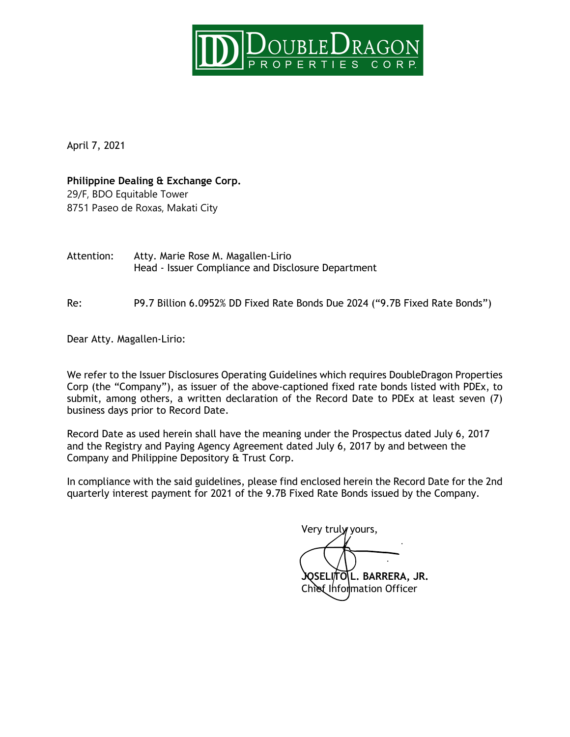

April 7, 2021

**Philippine Dealing & Exchange Corp.** 29/F, BDO Equitable Tower 8751 Paseo de Roxas, Makati City

Attention: Atty. Marie Rose M. Magallen-Lirio Head - Issuer Compliance and Disclosure Department

Re: P9.7 Billion 6.0952% DD Fixed Rate Bonds Due 2024 ("9.7B Fixed Rate Bonds")

Dear Atty. Magallen-Lirio:

We refer to the Issuer Disclosures Operating Guidelines which requires DoubleDragon Properties Corp (the "Company"), as issuer of the above-captioned fixed rate bonds listed with PDEx, to submit, among others, a written declaration of the Record Date to PDEx at least seven (7) business days prior to Record Date.

Record Date as used herein shall have the meaning under the Prospectus dated July 6, 2017 and the Registry and Paying Agency Agreement dated July 6, 2017 by and between the Company and Philippine Depository & Trust Corp.

In compliance with the said guidelines, please find enclosed herein the Record Date for the 2nd quarterly interest payment for 2021 of the 9.7B Fixed Rate Bonds issued by the Company.

Very truly yours,

**JOSELITO L. BARRERA, JR.** Chief Information Officer